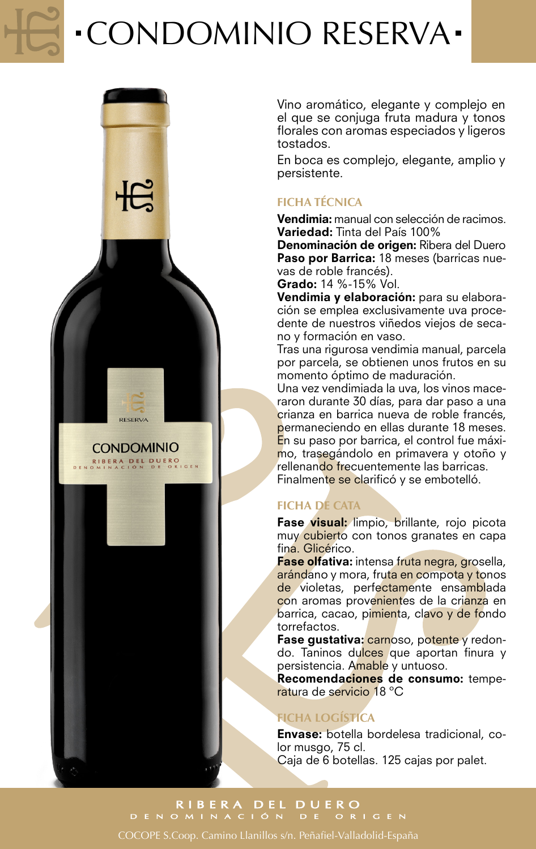# CONDOMINIO RESERVA



Vino aromático, elegante y complejo en el que se conjuga fruta madura y tonos florales con aromas especiados y ligeros tostados.

En boca es complejo, elegante, amplio y persistente.

### **FICHA TÉCNICA**

Vendimia: manual con selección de racimos. Variedad: Tinta del País 100%

Denominación de origen: Ribera del Duero Paso por Barrica: 18 meses (barricas nuevas de roble francés).

Grado: 14 %-15% Vol.

Vendimia y elaboración: para su elaboración se emplea exclusivamente uva procedente de nuestros viñedos viejos de secano y formación en vaso.

Tras una rigurosa vendimia manual, parcela por parcela, se obtienen unos frutos en su momento óptimo de maduración.

Una vez vendimiada la uva, los vinos maceraron durante 30 días, para dar paso a una crianza en barrica nueva de roble francés. permaneciendo en ellas durante 18 meses. En su paso por barrica, el control fue máximo, trasegándolo en primavera y otoño y rellenando frecuentemente las barricas. Finalmente se clarificó y se embotelló.

## **FICHA DE CATA**

Fase visual: limpio, brillante, rojo picota muy cubierto con tonos granates en capa fina. Glicérico.

Fase olfativa: intensa fruta negra, grosella, arándano y mora, fruta en compota y tonos de violetas, perfectamente ensamblada con aromas provenientes de la crianza en barrica, cacao, pimienta, clavo y de fondo torrefactos.

Fase gustativa: carnoso, potente y redondo. Taninos dulces que aportan finura y persistencia. Amable y untuoso.

Recomendaciones de consumo: temperatura de servicio 18 ºC

### **FICHA LOGÍSTICA**

Envase: botella bordelesa tradicional, color musgo, 75 cl. Caja de 6 botellas. 125 cajas por palet.

RIBERA DEL DUERO<br>DENOMINACIÓN DE ORIGEN

COCOPE S.Coop. Camino Llanillos s/n. Peñafiel-Valladolid-España